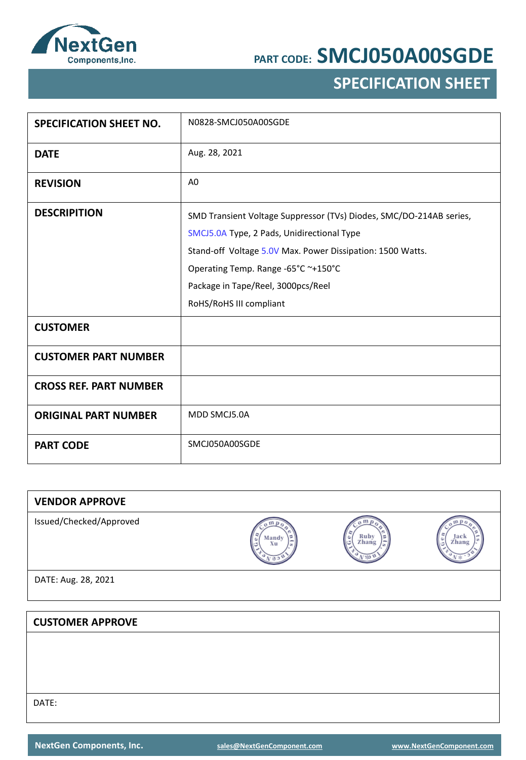

## **SPECIFICATION SHEET**

| <b>SPECIFICATION SHEET NO.</b> | N0828-SMCJ050A00SGDE                                                |
|--------------------------------|---------------------------------------------------------------------|
| <b>DATE</b>                    | Aug. 28, 2021                                                       |
| <b>REVISION</b>                | A <sub>0</sub>                                                      |
| <b>DESCRIPITION</b>            | SMD Transient Voltage Suppressor (TVs) Diodes, SMC/DO-214AB series, |
|                                | SMCJ5.0A Type, 2 Pads, Unidirectional Type                          |
|                                | Stand-off Voltage 5.0V Max. Power Dissipation: 1500 Watts.          |
|                                | Operating Temp. Range -65°C ~+150°C                                 |
|                                | Package in Tape/Reel, 3000pcs/Reel                                  |
|                                | RoHS/RoHS III compliant                                             |
| <b>CUSTOMER</b>                |                                                                     |
| <b>CUSTOMER PART NUMBER</b>    |                                                                     |
| <b>CROSS REF. PART NUMBER</b>  |                                                                     |
| <b>ORIGINAL PART NUMBER</b>    | MDD SMCJ5.0A                                                        |
| <b>PART CODE</b>               | SMCJ050A00SGDE                                                      |

| <b>VENDOR APPROVE</b>   |                           |                    |               |
|-------------------------|---------------------------|--------------------|---------------|
| Issued/Checked/Approved | $\sigma$ m<br>Mandy<br>Xu | Ruby<br>Zhang<br>ø | Jack<br>Zhang |
| DATE: Aug. 28, 2021     |                           |                    |               |
|                         |                           |                    |               |
| <b>CUSTOMER APPROVE</b> |                           |                    |               |
|                         |                           |                    |               |
|                         |                           |                    |               |
|                         |                           |                    |               |
| DATE:                   |                           |                    |               |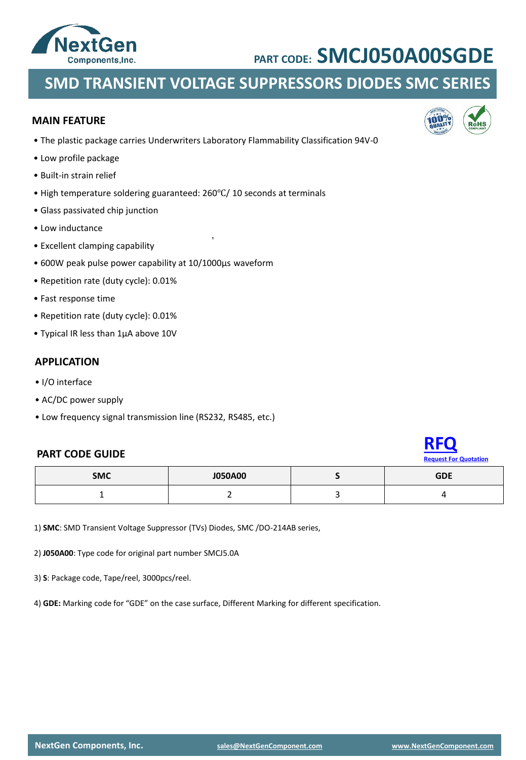

### **SMD TRANSIENT VOLTAGE SUPPRESSORS DIODES SMC SERIES**

#### **MAIN FEATURE**

• The plastic package carries Underwriters Laboratory Flammability Classification 94V-0

,

- Low profile package
- Built-in strain relief
- High temperature soldering guaranteed: 260℃/ 10 seconds at terminals
- Glass passivated chip junction
- Low inductance
- Excellent clamping capability
- 600W peak pulse power capability at 10/1000μs waveform
- Repetition rate (duty cycle): 0.01%
- Fast response time
- Repetition rate (duty cycle): 0.01%
- Typical IR less than 1μA above 10V

#### **APPLICATION**

- I/O interface
- AC/DC power supply
- Low frequency signal transmission line (RS232, RS485, etc.)

#### **PART CODE GUIDE**



| <b>SMC</b> | <b>J050A00</b> | CDE |
|------------|----------------|-----|
|            |                |     |

1) **SMC**: SMD Transient Voltage Suppressor (TVs) Diodes, SMC /DO-214AB series,

2) **J050A00**: Type code for original part number SMCJ5.0A

3) **S**: Package code, Tape/reel, 3000pcs/reel.

4) **GDE:** Marking code for "GDE" on the case surface, Different Marking for different specification.

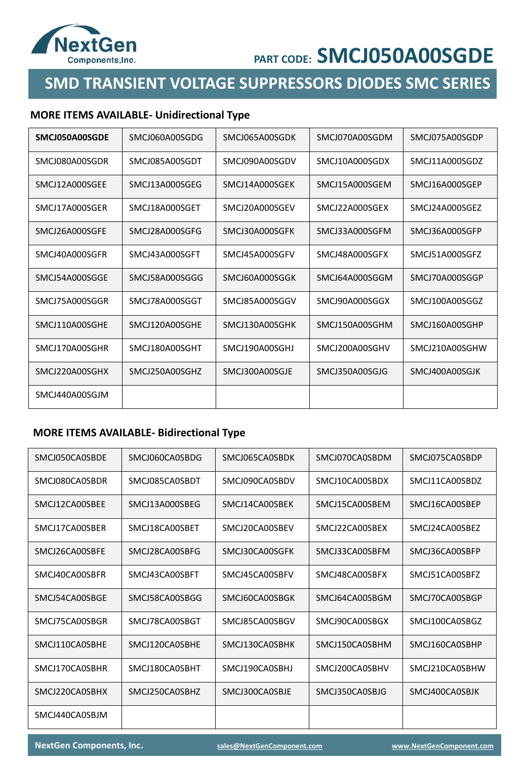

### **SMD TRANSIENT VOLTAGE SUPPRESSORS DIODES SMC SERIES**

### **MORE ITEMS AVAILABLE- Unidirectional Type**

| SMCJ050A00SGDE | SMCJ060A00SGDG | SMCJ065A00SGDK | SMCJ070A00SGDM | SMCJ075A00SGDP |
|----------------|----------------|----------------|----------------|----------------|
| SMCJ080A00SGDR | SMCJ085A00SGDT | SMCJ090A00SGDV | SMCJ10A000SGDX | SMCJ11A000SGDZ |
| SMCJ12A000SGEE | SMCJ13A000SGEG | SMCJ14A000SGEK | SMCJ15A000SGEM | SMCJ16A000SGEP |
| SMCJ17A000SGER | SMCJ18A000SGET | SMCJ20A000SGEV | SMCJ22A000SGEX | SMCJ24A000SGEZ |
| SMCJ26A000SGFE | SMCJ28A000SGFG | SMCJ30A000SGFK | SMCJ33A000SGFM | SMCJ36A000SGFP |
| SMCJ40A000SGFR | SMCJ43A000SGFT | SMCJ45A000SGFV | SMCJ48A000SGFX | SMCJ51A000SGFZ |
| SMCJ54A000SGGE | SMCJ58A000SGGG | SMCJ60A000SGGK | SMCI64A000SGGM | SMCJ70A000SGGP |
| SMCI75A000SGGR | SMCJ78A000SGGT | SMCI85A000SGGV | SMC190A000SGGX | SMCJ100A00SGGZ |
| SMCJ110A00SGHE | SMCJ120A00SGHE | SMCJ130A00SGHK | SMCJ150A00SGHM | SMCJ160A00SGHP |
| SMCJ170A00SGHR | SMCJ180A00SGHT | SMCJ190A00SGHJ | SMCJ200A00SGHV | SMCJ210A00SGHW |
| SMCJ220A00SGHX | SMCJ250A00SGHZ | SMCJ300A00SGJE | SMCJ350A00SGJG | SMCJ400A00SGJK |
| SMCJ440A00SGJM |                |                |                |                |

#### **MORE ITEMS AVAILABLE- Bidirectional Type**

| SMCJ050CA0SBDE | SMCJ060CA0SBDG | SMCJ065CA0SBDK | SMCJ070CA0SBDM | SMCJ075CA0SBDP |
|----------------|----------------|----------------|----------------|----------------|
| SMCJ080CA0SBDR | SMCJ085CA0SBDT | SMCJ090CA0SBDV | SMCJ10CA00SBDX | SMCJ11CA00SBDZ |
| SMCJ12CA00SBEE | SMCJ13A000SBEG | SMCJ14CA00SBEK | SMCJ15CA00SBEM | SMCJ16CA00SBEP |
| SMCJ17CA00SBER | SMCJ18CA00SBET | SMCJ20CA00SBEV | SMCJ22CA00SBEX | SMCJ24CA00SBEZ |
| SMCJ26CA00SBFE | SMCJ28CA00SBFG | SMCJ30CA00SGFK | SMCJ33CA00SBFM | SMCJ36CA00SBFP |
| SMCJ40CA00SBFR | SMCJ43CA00SBFT | SMCJ45CA00SBFV | SMCJ48CA00SBFX | SMCJ51CA00SBFZ |
| SMCJ54CA00SBGE | SMCJ58CA00SBGG | SMCJ60CA00SBGK | SMCJ64CA00SBGM | SMCJ70CA00SBGP |
| SMCJ75CA00SBGR | SMCJ78CA00SBGT | SMCJ85CA00SBGV | SMCJ90CA00SBGX | SMCJ100CA0SBGZ |
| SMCJ110CA0SBHE | SMCJ120CA0SBHE | SMCJ130CA0SBHK | SMCJ150CA0SBHM | SMCJ160CA0SBHP |
| SMCJ170CA0SBHR | SMCJ180CA0SBHT | SMCJ190CA0SBHJ | SMCJ200CA0SBHV | SMCJ210CA0SBHW |
| SMCJ220CA0SBHX | SMCJ250CA0SBHZ | SMCJ300CA0SBJE | SMCJ350CA0SBJG | SMCJ400CA0SBJK |
| SMCJ440CA0SBJM |                |                |                |                |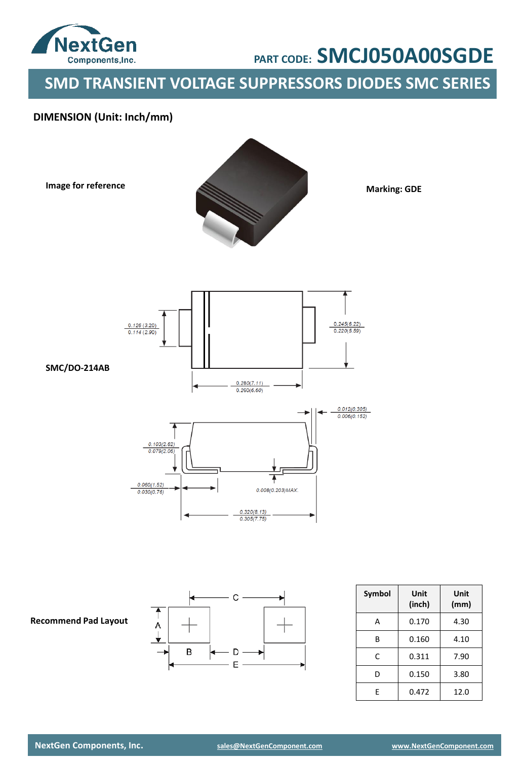

**SMD TRANSIENT VOLTAGE SUPPRESSORS DIODES SMC SERIES**

### **DIMENSION (Unit: Inch/mm)**





**Marking: GDE**



**SMC/DO-214AB**





| Symbol | Unit<br>(inch) | Unit<br>(mm) |
|--------|----------------|--------------|
| А      | 0.170          | 4.30         |
| R      | 0.160          | 4.10         |
| C      | 0.311          | 7.90         |
| D      | 0.150          | 3.80         |
| F      | 0.472          | 12.0         |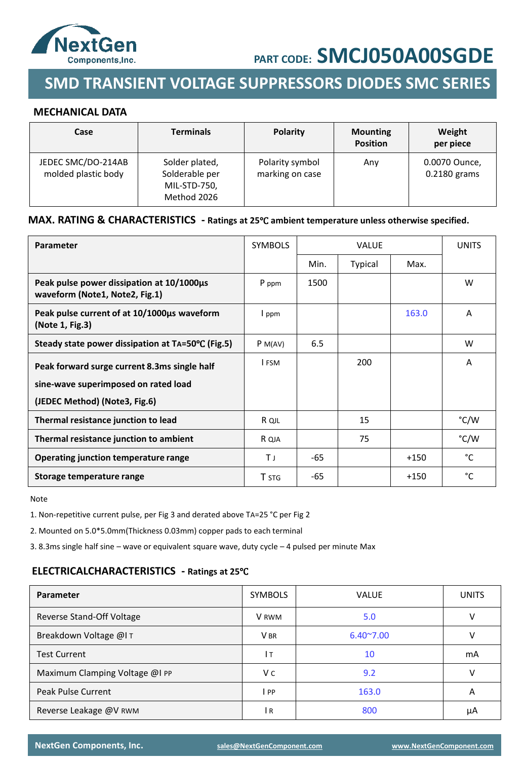

## **SMD TRANSIENT VOLTAGE SUPPRESSORS DIODES SMC SERIES**

#### **MECHANICAL DATA**

| Case                                      | <b>Terminals</b>                                                | <b>Polarity</b>                    | <b>Mounting</b><br><b>Position</b> | Weight<br>per piece           |
|-------------------------------------------|-----------------------------------------------------------------|------------------------------------|------------------------------------|-------------------------------|
| JEDEC SMC/DO-214AB<br>molded plastic body | Solder plated,<br>Solderable per<br>MIL-STD-750,<br>Method 2026 | Polarity symbol<br>marking on case | Any                                | 0.0070 Ounce,<br>0.2180 grams |

#### **MAX. RATING & CHARACTERISTICS - Ratings at 25**℃ **ambient temperature unless otherwise specified.**

| <b>Parameter</b>                                                            | <b>SYMBOLS</b> |      | <b>VALUE</b> |        | <b>UNITS</b> |
|-----------------------------------------------------------------------------|----------------|------|--------------|--------|--------------|
|                                                                             |                | Min. | Typical      | Max.   |              |
| Peak pulse power dissipation at 10/1000µs<br>waveform (Note1, Note2, Fig.1) | P ppm          | 1500 |              |        | W            |
| Peak pulse current of at 10/1000us waveform<br>(Note 1, Fig.3)              | I ppm          |      |              | 163.0  | A            |
| Steady state power dissipation at TA=50°C (Fig.5)                           | P M(AV)        | 6.5  |              |        | W            |
| Peak forward surge current 8.3ms single half                                | I FSM          |      | 200          |        | A            |
| sine-wave superimposed on rated load                                        |                |      |              |        |              |
| (JEDEC Method) (Note3, Fig.6)                                               |                |      |              |        |              |
| Thermal resistance junction to lead                                         | R QJL          |      | 15           |        | °C/W         |
| Thermal resistance junction to ambient                                      | R QJA          |      | 75           |        | °C/W         |
| Operating junction temperature range                                        | ΤJ             | -65  |              | $+150$ | °C           |
| Storage temperature range                                                   | T STG          | -65  |              | $+150$ | °C           |

Note

1. Non-repetitive current pulse, per Fig 3 and derated above TA=25 °C per Fig 2

2. Mounted on 5.0\*5.0mm(Thickness 0.03mm) copper pads to each terminal

3. 8.3ms single half sine – wave or equivalent square wave, duty cycle – 4 pulsed per minute Max

#### **ELECTRICALCHARACTERISTICS - Ratings at 25**℃

| Parameter                      | <b>SYMBOLS</b>  | <b>VALUE</b>       | <b>UNITS</b> |
|--------------------------------|-----------------|--------------------|--------------|
| Reverse Stand-Off Voltage      | V RWM           | 5.0                | v            |
| Breakdown Voltage @IT          | V <sub>BR</sub> | $6.40^{\circ}7.00$ | v            |
| <b>Test Current</b>            | Iт              | 10                 | mA           |
| Maximum Clamping Voltage @I PP | V c             | 9.2                | V            |
| Peak Pulse Current             | l PP.           | 163.0              | A            |
| Reverse Leakage @V RWM         | IR.             | 800                | μA           |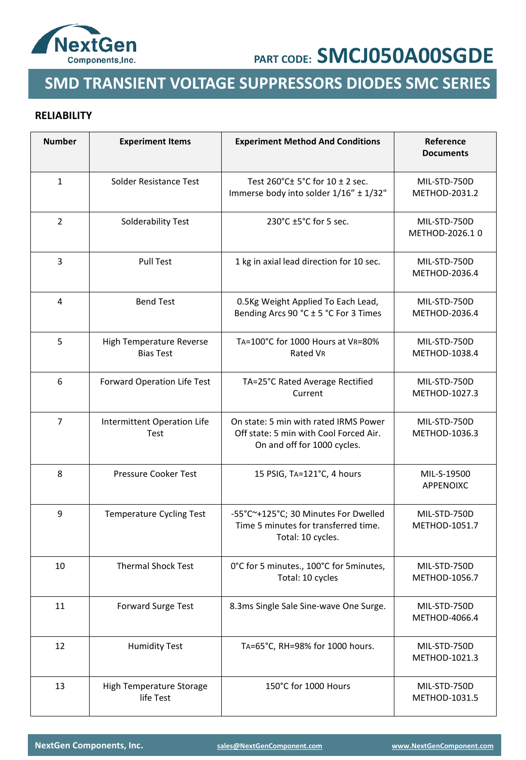

### **SMD TRANSIENT VOLTAGE SUPPRESSORS DIODES SMC SERIES**

### **RELIABILITY**

| <b>Number</b>  | <b>Experiment Items</b>                      | <b>Experiment Method And Conditions</b>                                                                        | Reference<br><b>Documents</b>  |
|----------------|----------------------------------------------|----------------------------------------------------------------------------------------------------------------|--------------------------------|
| $\mathbf{1}$   | Solder Resistance Test                       | Test 260°C± 5°C for 10 ± 2 sec.<br>Immerse body into solder 1/16" ± 1/32"                                      | MIL-STD-750D<br>METHOD-2031.2  |
| $\overline{2}$ | Solderability Test                           | 230°C ±5°C for 5 sec.                                                                                          | MIL-STD-750D<br>METHOD-2026.10 |
| 3              | <b>Pull Test</b>                             | 1 kg in axial lead direction for 10 sec.                                                                       | MIL-STD-750D<br>METHOD-2036.4  |
| 4              | <b>Bend Test</b>                             | 0.5Kg Weight Applied To Each Lead,<br>Bending Arcs 90 °C ± 5 °C For 3 Times                                    | MIL-STD-750D<br>METHOD-2036.4  |
| 5              | High Temperature Reverse<br><b>Bias Test</b> | TA=100°C for 1000 Hours at VR=80%<br>Rated VR                                                                  | MIL-STD-750D<br>METHOD-1038.4  |
| 6              | Forward Operation Life Test                  | TA=25°C Rated Average Rectified<br>Current                                                                     | MIL-STD-750D<br>METHOD-1027.3  |
| $\overline{7}$ | Intermittent Operation Life<br>Test          | On state: 5 min with rated IRMS Power<br>Off state: 5 min with Cool Forced Air.<br>On and off for 1000 cycles. | MIL-STD-750D<br>METHOD-1036.3  |
| 8              | Pressure Cooker Test                         | 15 PSIG, TA=121°C, 4 hours                                                                                     | MIL-S-19500<br>APPENOIXC       |
| 9              | <b>Temperature Cycling Test</b>              | -55°C~+125°C; 30 Minutes For Dwelled<br>Time 5 minutes for transferred time.<br>Total: 10 cycles.              | MIL-STD-750D<br>METHOD-1051.7  |
| 10             | <b>Thermal Shock Test</b>                    | 0°C for 5 minutes., 100°C for 5 minutes,<br>Total: 10 cycles                                                   | MIL-STD-750D<br>METHOD-1056.7  |
| 11             | Forward Surge Test                           | 8.3ms Single Sale Sine-wave One Surge.                                                                         | MIL-STD-750D<br>METHOD-4066.4  |
| 12             | <b>Humidity Test</b>                         | TA=65°C, RH=98% for 1000 hours.                                                                                | MIL-STD-750D<br>METHOD-1021.3  |
| 13             | High Temperature Storage<br>life Test        | 150°C for 1000 Hours                                                                                           | MIL-STD-750D<br>METHOD-1031.5  |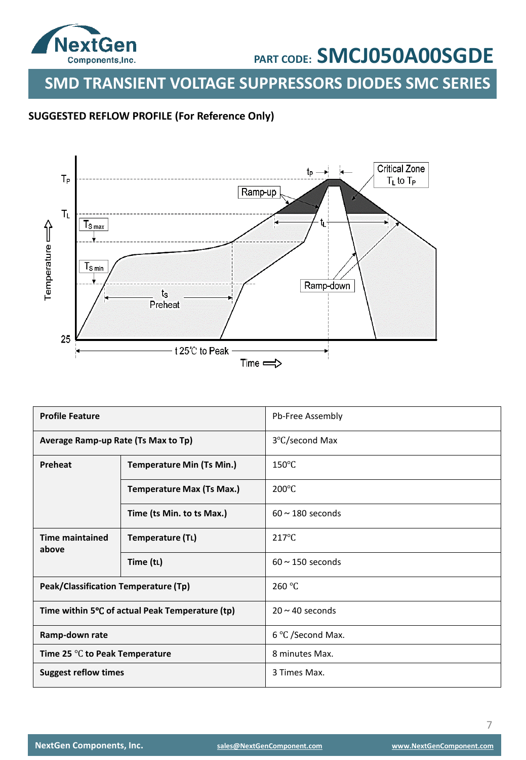

**SMD TRANSIENT VOLTAGE SUPPRESSORS DIODES SMC SERIES**

### **SUGGESTED REFLOW PROFILE (For Reference Only)**



| <b>Profile Feature</b>               |                                                 | Pb-Free Assembly      |
|--------------------------------------|-------------------------------------------------|-----------------------|
| Average Ramp-up Rate (Ts Max to Tp)  |                                                 | 3°C/second Max        |
| Preheat                              | <b>Temperature Min (Ts Min.)</b>                | $150^{\circ}$ C       |
|                                      | <b>Temperature Max (Ts Max.)</b>                | $200^{\circ}$ C       |
|                                      | Time (ts Min. to ts Max.)                       | $60 \sim 180$ seconds |
| <b>Time maintained</b><br>above      | Temperature (TL)                                | $217^{\circ}$ C       |
|                                      | Time (tL)                                       | $60 \sim 150$ seconds |
| Peak/Classification Temperature (Tp) |                                                 | 260 °C                |
|                                      | Time within 5°C of actual Peak Temperature (tp) | $20 \sim 40$ seconds  |
| Ramp-down rate                       |                                                 | 6 °C /Second Max.     |
| Time 25 °C to Peak Temperature       |                                                 | 8 minutes Max.        |
| <b>Suggest reflow times</b>          |                                                 | 3 Times Max.          |

7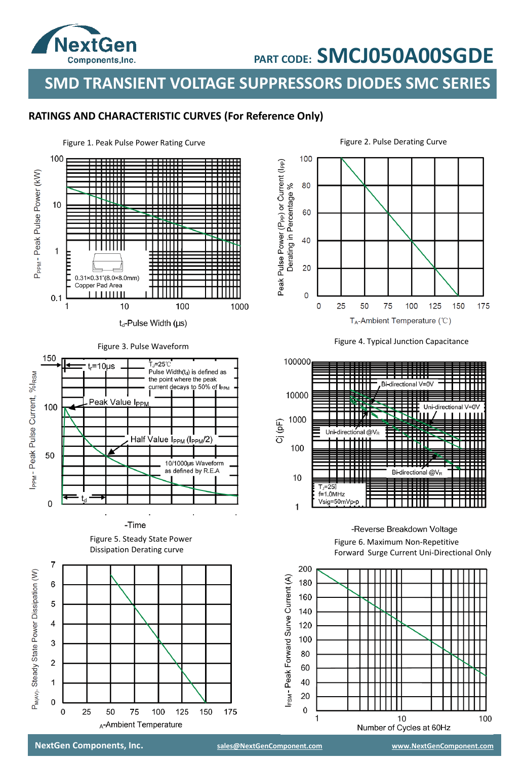

**SMD TRANSIENT VOLTAGE SUPPRESSORS DIODES SMC SERIES**

### **RATINGS AND CHARACTERISTIC CURVES (For Reference Only)**







#### -Reverse Breakdown Voltage

Figure 6. Maximum Non-Repetitive Forward Surge Current Uni-Directional Only



**NextGen Components, Inc. [sales@NextGenComponent.com](mailto:sales@NextGenComponent.com) [www.NextGenComponent.com](http://www.nextgencomponent.com/)**

25

50

75

A-Ambient Temperature

100

125

150

175

 $\overline{\mathbf{4}}$ 

3

 $\overline{2}$ 

1

 $\mathsf 0$ 

 $\pmb{0}$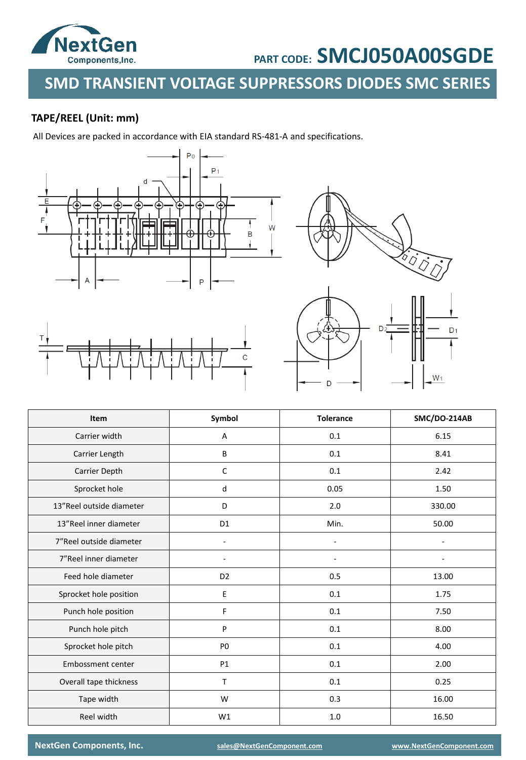

## **SMD TRANSIENT VOLTAGE SUPPRESSORS DIODES SMC SERIES**

### **TAPE/REEL (Unit: mm)**

All Devices are packed in accordance with EIA standard RS-481-A and specifications.





| Item                     | Symbol         | <b>Tolerance</b> | SMC/DO-214AB |
|--------------------------|----------------|------------------|--------------|
| Carrier width            | А              | 0.1              | 6.15         |
| Carrier Length           | B              | 0.1              | 8.41         |
| Carrier Depth            | $\mathsf{C}$   | 0.1              | 2.42         |
| Sprocket hole            | d              | 0.05             | 1.50         |
| 13"Reel outside diameter | D              | 2.0              | 330.00       |
| 13"Reel inner diameter   | D <sub>1</sub> | Min.             | 50.00        |
| 7"Reel outside diameter  |                |                  |              |
| 7"Reel inner diameter    |                |                  |              |
| Feed hole diameter       | D <sub>2</sub> | 0.5              | 13.00        |
| Sprocket hole position   | E              | 0.1              | 1.75         |
| Punch hole position      | F              | 0.1              | 7.50         |
| Punch hole pitch         | P              | 0.1              | 8.00         |
| Sprocket hole pitch      | P <sub>0</sub> | 0.1              | 4.00         |
| Embossment center        | P1             | 0.1              | 2.00         |
| Overall tape thickness   | T.             | 0.1              | 0.25         |
| Tape width               | W              | 0.3              | 16.00        |
| Reel width               | W1             | 1.0              | 16.50        |

**NextGen Components, Inc. [sales@NextGenComponent.com](mailto:sales@NextGenComponent.com) [www.NextGenComponent.com](http://www.nextgencomponent.com/)**